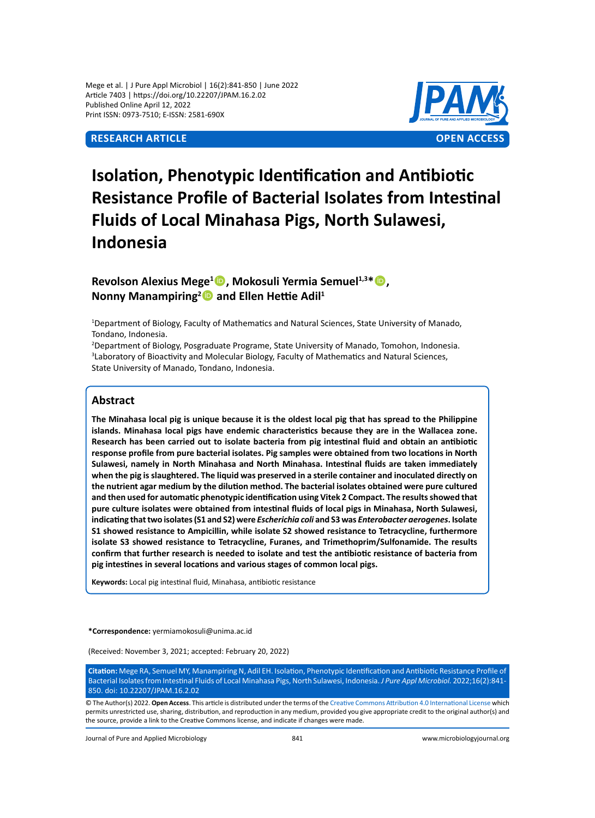## **ReSEARCH Article OPEN ACCESS**



# **Isolation, Phenotypic Identification and Antibiotic Resistance Profile of Bacterial Isolates from Intestinal Fluids of Local Minahasa Pigs, North Sulawesi, Indonesia**

## **Revolson Alexius Mege<sup>1</sup> , Mokosuli Yermia Semuel1,3\*, Nonny Manampiring<sup>2</sup> and Ellen Hettie Adil<sup>1</sup>**

1 Department of Biology, Faculty of Mathematics and Natural Sciences, State University of Manado, Tondano, Indonesia.

2 Department of Biology, Posgraduate Programe, State University of Manado, Tomohon, Indonesia. 3 Laboratory of Bioactivity and Molecular Biology, Faculty of Mathematics and Natural Sciences, State University of Manado, Tondano, Indonesia.

## **Abstract**

**The Minahasa local pig is unique because it is the oldest local pig that has spread to the Philippine islands. Minahasa local pigs have endemic characteristics because they are in the Wallacea zone. Research has been carried out to isolate bacteria from pig intestinal fluid and obtain an antibiotic response profile from pure bacterial isolates. Pig samples were obtained from two locations in North Sulawesi, namely in North Minahasa and North Minahasa. Intestinal fluids are taken immediately when the pig is slaughtered. The liquid was preserved in a sterile container and inoculated directly on the nutrient agar medium by the dilution method. The bacterial isolates obtained were pure cultured and then used for automatic phenotypic identification using Vitek 2 Compact. The results showed that pure culture isolates were obtained from intestinal fluids of local pigs in Minahasa, North Sulawesi, indicating that two isolates (S1 and S2) were** *Escherichia coli* **and S3 was** *Enterobacter aerogenes***. Isolate S1 showed resistance to Ampicillin, while isolate S2 showed resistance to Tetracycline, furthermore isolate S3 showed resistance to Tetracycline, Furanes, and Trimethoprim/Sulfonamide. The results confirm that further research is needed to isolate and test the antibiotic resistance of bacteria from pig intestines in several locations and various stages of common local pigs.**

**Keywords:** Local pig intestinal fluid, Minahasa, antibiotic resistance

**\*Correspondence:** yermiamokosuli@unima.ac.id

(Received: November 3, 2021; accepted: February 20, 2022)

**Citation:** Mege RA, Semuel MY, Manampiring N, Adil EH. Isolation, Phenotypic Identification and Antibiotic Resistance Profile of Bacterial Isolates from Intestinal Fluids of Local Minahasa Pigs, North Sulawesi, Indonesia. *J Pure Appl Microbiol.* 2022;16(2):841- 850. doi: 10.22207/JPAM.16.2.02

© The Author(s) 2022. **Open Access**. This article is distributed under the terms of the [Creative Commons Attribution 4.0 International License](https://creativecommons.org/licenses/by/4.0/) which permits unrestricted use, sharing, distribution, and reproduction in any medium, provided you give appropriate credit to the original author(s) and the source, provide a link to the Creative Commons license, and indicate if changes were made.

Journal of Pure and Applied Microbiology 841 www.microbiologyjournal.org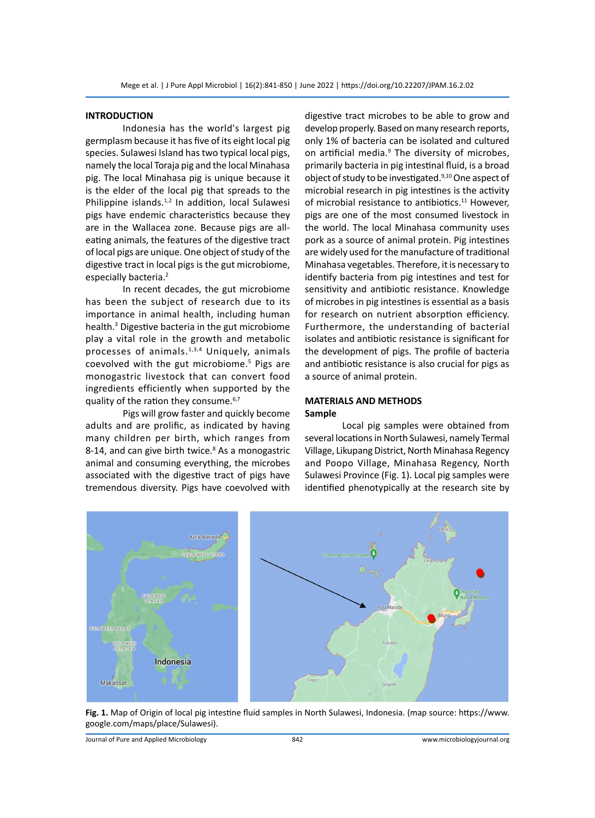#### **INTRODUCTION**

Indonesia has the world's largest pig germplasm because it has five of its eight local pig species. Sulawesi Island has two typical local pigs, namely the local Toraja pig and the local Minahasa pig. The local Minahasa pig is unique because it is the elder of the local pig that spreads to the Philippine islands. $1,2$  In addition, local Sulawesi pigs have endemic characteristics because they are in the Wallacea zone. Because pigs are alleating animals, the features of the digestive tract of local pigs are unique. One object of study of the digestive tract in local pigs is the gut microbiome, especially bacteria.<sup>2</sup>

In recent decades, the gut microbiome has been the subject of research due to its importance in animal health, including human health.<sup>3</sup> Digestive bacteria in the gut microbiome play a vital role in the growth and metabolic processes of animals.<sup>1,3,4</sup> Uniquely, animals coevolved with the gut microbiome.<sup>5</sup> Pigs are monogastric livestock that can convert food ingredients efficiently when supported by the quality of the ration they consume.<sup>6,7</sup>

Pigs will grow faster and quickly become adults and are prolific, as indicated by having many children per birth, which ranges from 8-14, and can give birth twice.<sup>8</sup> As a monogastric animal and consuming everything, the microbes associated with the digestive tract of pigs have tremendous diversity. Pigs have coevolved with

digestive tract microbes to be able to grow and develop properly. Based on many research reports, only 1% of bacteria can be isolated and cultured on artificial media.<sup>9</sup> The diversity of microbes, primarily bacteria in pig intestinal fluid, is a broad object of study to be investigated.<sup>9,10</sup> One aspect of microbial research in pig intestines is the activity of microbial resistance to antibiotics.<sup>11</sup> However, pigs are one of the most consumed livestock in the world. The local Minahasa community uses pork as a source of animal protein. Pig intestines are widely used for the manufacture of traditional Minahasa vegetables. Therefore, it is necessary to identify bacteria from pig intestines and test for sensitivity and antibiotic resistance. Knowledge of microbes in pig intestines is essential as a basis for research on nutrient absorption efficiency. Furthermore, the understanding of bacterial isolates and antibiotic resistance is significant for the development of pigs. The profile of bacteria and antibiotic resistance is also crucial for pigs as a source of animal protein.

## **MATERIALS AND METHODS Sample**

Local pig samples were obtained from several locations in North Sulawesi, namely Termal Village, Likupang District, North Minahasa Regency and Poopo Village, Minahasa Regency, North Sulawesi Province (Fig. 1). Local pig samples were identified phenotypically at the research site by



**Fig. 1.** Map of Origin of local pig intestine fluid samples in North Sulawesi, Indonesia. (map source: https://www. google.com/maps/place/Sulawesi).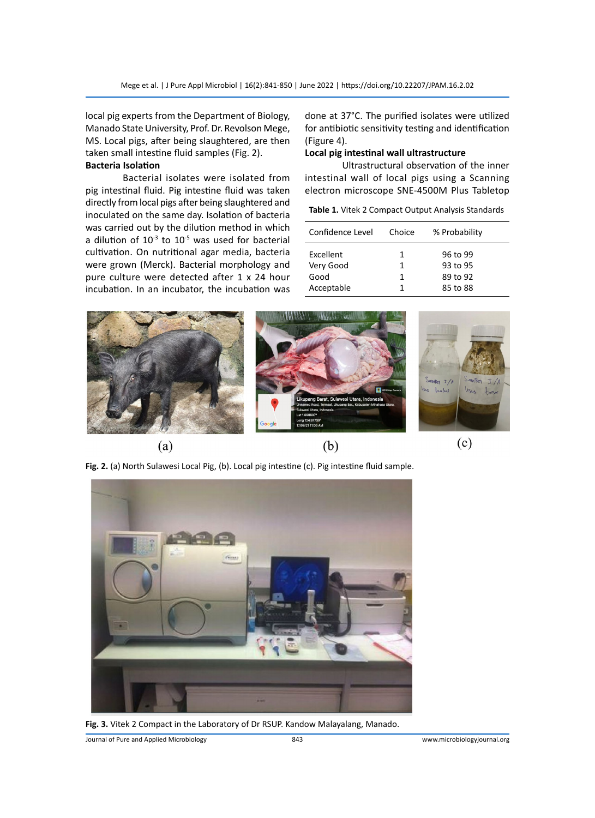local pig experts from the Department of Biology, Manado State University, Prof. Dr. Revolson Mege, MS. Local pigs, after being slaughtered, are then taken small intestine fluid samples (Fig. 2).

## **Bacteria Isolation**

Bacterial isolates were isolated from pig intestinal fluid. Pig intestine fluid was taken directly from local pigs after being slaughtered and inoculated on the same day. Isolation of bacteria was carried out by the dilution method in which a dilution of  $10^{-3}$  to  $10^{-5}$  was used for bacterial cultivation. On nutritional agar media, bacteria were grown (Merck). Bacterial morphology and pure culture were detected after 1 x 24 hour incubation. In an incubator, the incubation was

done at 37°C. The purified isolates were utilized for antibiotic sensitivity testing and identification (Figure 4).

## **Local pig intestinal wall ultrastructure**

Ultrastructural observation of the inner intestinal wall of local pigs using a Scanning electron microscope SNE-4500M Plus Tabletop

|  |  |  |  |  | Table 1. Vitek 2 Compact Output Analysis Standards |
|--|--|--|--|--|----------------------------------------------------|
|--|--|--|--|--|----------------------------------------------------|

| Confidence Level | Choice | % Probability |
|------------------|--------|---------------|
| Excellent        | 1      | 96 to 99      |
| Very Good        | 1      | 93 to 95      |
| Good             | 1      | 89 to 92      |
| Acceptable       | 1      | 85 to 88      |



**Fig. 2.** (a) North Sulawesi Local Pig, (b). Local pig intestine (c). Pig intestine fluid sample.



**Fig. 3.** Vitek 2 Compact in the Laboratory of Dr RSUP. Kandow Malayalang, Manado.

Journal of Pure and Applied Microbiology 843 www.microbiologyjournal.org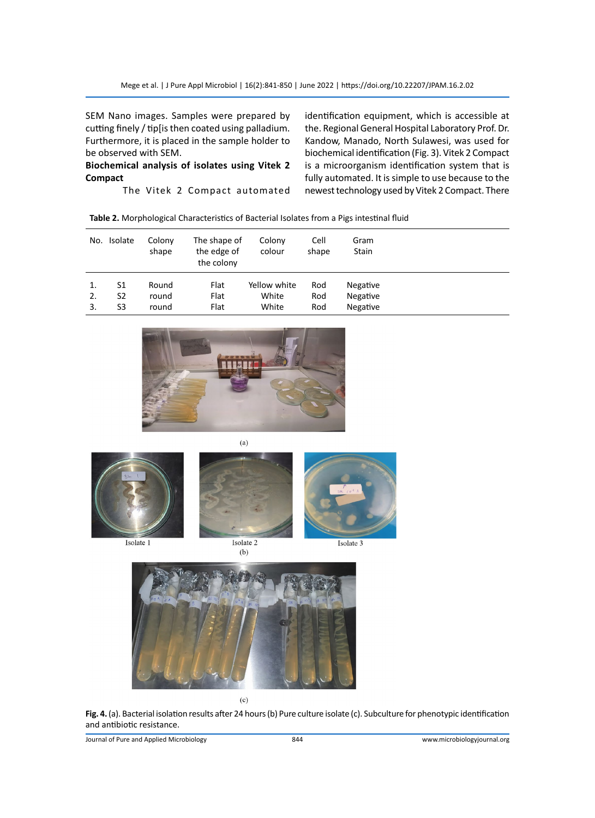SEM Nano images. Samples were prepared by cutting finely / tip[is then coated using palladium. Furthermore, it is placed in the sample holder to be observed with SEM.

## **Biochemical analysis of isolates using Vitek 2 Compact**

The Vitek 2 Compact automated

identification equipment, which is accessible at the. Regional General Hospital Laboratory Prof. Dr. Kandow, Manado, North Sulawesi, was used for biochemical identification (Fig. 3). Vitek 2 Compact is a microorganism identification system that is fully automated. It is simple to use because to the newest technology used by Vitek 2 Compact. There

| No. | Isolate | Colony<br>shape | The shape of<br>the edge of<br>the colony | Colony<br>colour | Cell<br>shape | Gram<br>Stain |
|-----|---------|-----------------|-------------------------------------------|------------------|---------------|---------------|
|     | S1      | Round           | Flat                                      | Yellow white     | Rod           | Negative      |
| 2.  | S2      | round           | Flat                                      | White            | Rod           | Negative      |
| 3.  | S3      | round           | Flat                                      | White            | Rod           | Negative      |



 $(a)$ 



Isolate 1



 $(b)$ 



Isolate 3



**Fig. 4.** (a). Bacterial isolation results after 24 hours (b) Pure culture isolate (c). Subculture for phenotypic identification and antibiotic resistance.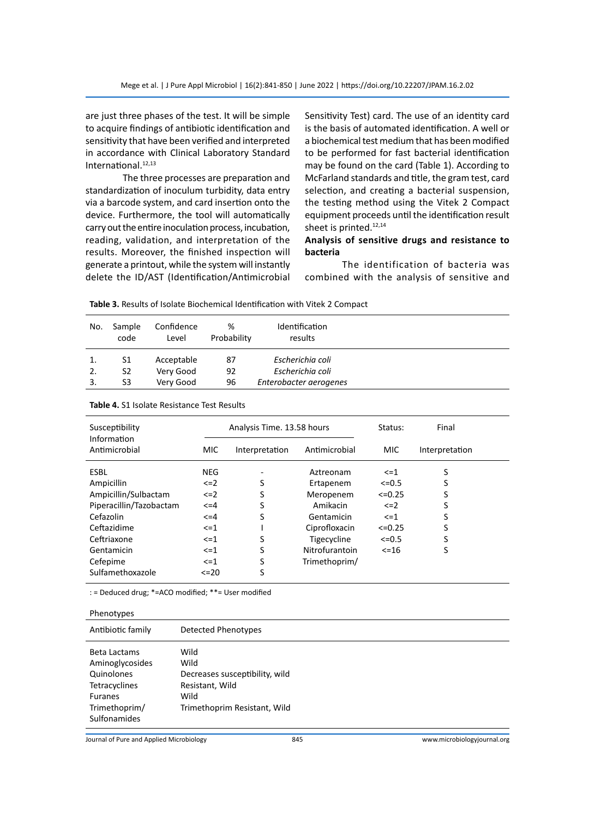are just three phases of the test. It will be simple to acquire findings of antibiotic identification and sensitivity that have been verified and interpreted in accordance with Clinical Laboratory Standard International.<sup>12,13</sup>

The three processes are preparation and standardization of inoculum turbidity, data entry via a barcode system, and card insertion onto the device. Furthermore, the tool will automatically carry out the entire inoculation process, incubation, reading, validation, and interpretation of the results. Moreover, the finished inspection will generate a printout, while the system will instantly delete the ID/AST (Identification/Antimicrobial Sensitivity Test) card. The use of an identity card is the basis of automated identification. A well or a biochemical test medium that has been modified to be performed for fast bacterial identification may be found on the card (Table 1). According to McFarland standards and title, the gram test, card selection, and creating a bacterial suspension, the testing method using the Vitek 2 Compact equipment proceeds until the identification result sheet is printed.<sup>12,14</sup>

## **Analysis of sensitive drugs and resistance to bacteria**

The identification of bacteria was combined with the analysis of sensitive and

| Table 3. Results of Isolate Biochemical Identification with Vitek 2 Compact |  |
|-----------------------------------------------------------------------------|--|
|-----------------------------------------------------------------------------|--|

| No. | Sample<br>code | Confidence<br>Level | %<br>Probability | Identification<br>results |  |
|-----|----------------|---------------------|------------------|---------------------------|--|
| 1.  | S1             | Acceptable          | 87               | Escherichia coli          |  |
|     | S2             | Very Good           | 92               | Escherichia coli          |  |
|     | S3             | Very Good           | 96               | Enterobacter aerogenes    |  |

| Susceptibility<br>Information |            | Analysis Time. 13.58 hours | Status:        | Final      |                |
|-------------------------------|------------|----------------------------|----------------|------------|----------------|
| Antimicrobial                 | <b>MIC</b> | Interpretation             | Antimicrobial  | <b>MIC</b> | Interpretation |
| <b>ESBL</b>                   | <b>NEG</b> |                            | Aztreonam      | $\leq$ = 1 | S              |
| Ampicillin                    | $\leq$ = 2 | S                          | Ertapenem      | $<=0.5$    | S              |
| Ampicillin/Sulbactam          | $\leq$ =2  | S                          | Meropenem      | $<=0.25$   | S              |
| Piperacillin/Tazobactam       | <=4        |                            | Amikacin       | $\leq$ = 2 | S              |
| Cefazolin                     | <=4        | S                          | Gentamicin     | $\leq$ =1  | S              |
| Ceftazidime                   | $\leq$ =1  |                            | Ciprofloxacin  | $<=0.25$   | S              |
| Ceftriaxone                   | $\leq$ = 1 | S                          | Tigecycline    | $<=0.5$    | S              |
| Gentamicin                    | $\leq$ = 1 | S                          | Nitrofurantoin | $< = 16$   | S              |
| Cefepime                      | $\leq$ = 1 | S                          | Trimethoprim/  |            |                |
| Sulfamethoxazole              | $\leq$ 20  | S                          |                |            |                |

**Table 4.** S1 Isolate Resistance Test Results

: = Deduced drug; \*=ACO modified; \*\*= User modified

| Antibiotic family<br>Detected Phenotypes<br>Wild<br>Beta Lactams<br>Aminoglycosides<br>Wild<br>Quinolones<br>Decreases susceptibility, wild<br>Tetracyclines<br>Resistant, Wild<br>Wild<br><b>Furanes</b><br>Trimethoprim/<br>Trimethoprim Resistant, Wild<br>Sulfonamides | Phenotypes |  |
|----------------------------------------------------------------------------------------------------------------------------------------------------------------------------------------------------------------------------------------------------------------------------|------------|--|
|                                                                                                                                                                                                                                                                            |            |  |
|                                                                                                                                                                                                                                                                            |            |  |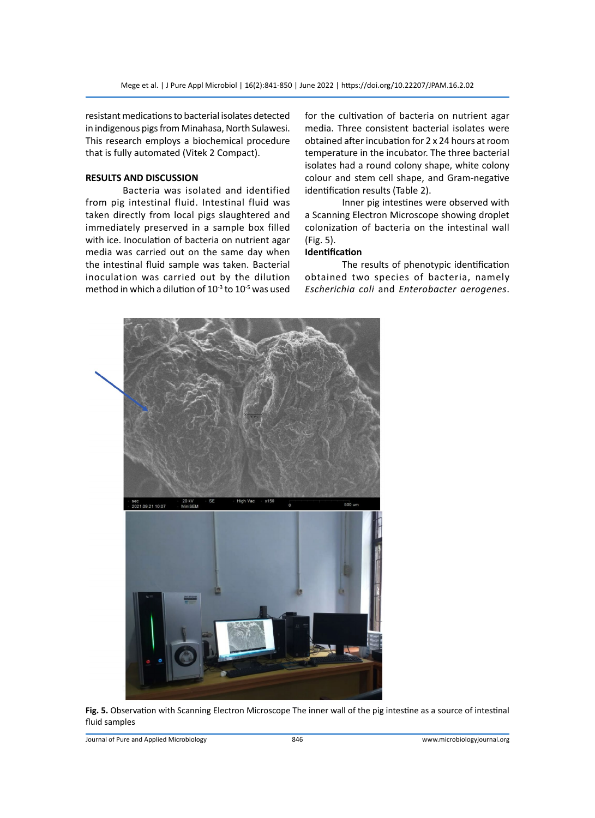resistant medications to bacterial isolates detected in indigenous pigs from Minahasa, North Sulawesi. This research employs a biochemical procedure that is fully automated (Vitek 2 Compact).

## **RESULTS AND DISCUSSION**

Bacteria was isolated and identified from pig intestinal fluid. Intestinal fluid was taken directly from local pigs slaughtered and immediately preserved in a sample box filled with ice. Inoculation of bacteria on nutrient agar media was carried out on the same day when the intestinal fluid sample was taken. Bacterial inoculation was carried out by the dilution method in which a dilution of  $10^{-3}$  to  $10^{-5}$  was used for the cultivation of bacteria on nutrient agar media. Three consistent bacterial isolates were obtained after incubation for 2 x 24 hours at room temperature in the incubator. The three bacterial isolates had a round colony shape, white colony colour and stem cell shape, and Gram-negative identification results (Table 2).

Inner pig intestines were observed with a Scanning Electron Microscope showing droplet colonization of bacteria on the intestinal wall (Fig. 5).

## **Identification**

The results of phenotypic identification obtained two species of bacteria, namely *Escherichia coli* and *Enterobacter aerogenes*.



**Fig. 5.** Observation with Scanning Electron Microscope The inner wall of the pig intestine as a source of intestinal fluid samples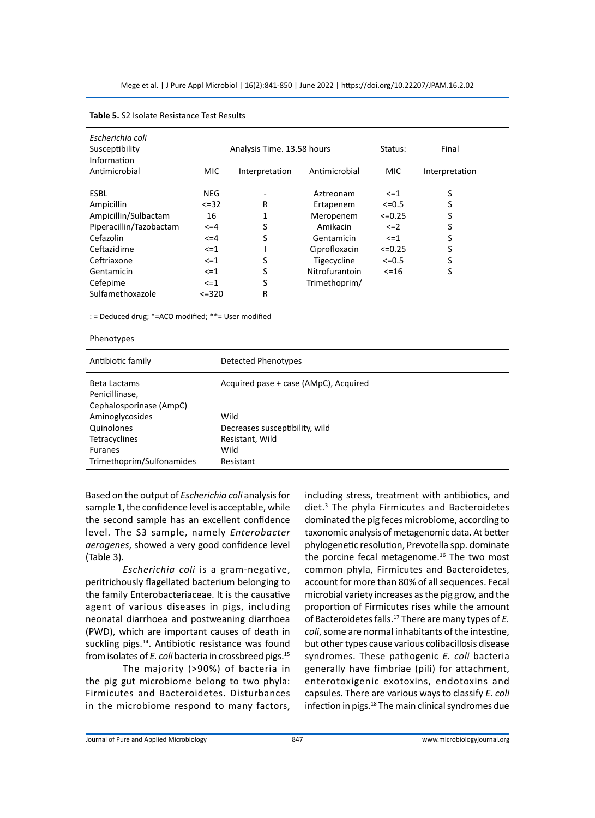| Escherichia coli<br>Susceptibility<br>Information |              | Analysis Time. 13.58 hours |                | Status:      | Final          |
|---------------------------------------------------|--------------|----------------------------|----------------|--------------|----------------|
| Antimicrobial                                     | MIC          | Interpretation             | Antimicrobial  | MIC.         | Interpretation |
| <b>ESBL</b>                                       | <b>NEG</b>   |                            | Aztreonam      | $\leq$ = 1   | S              |
| Ampicillin                                        | $<=32$       | R                          | Ertapenem      | $<=0.5$      | S              |
| Ampicillin/Sulbactam                              | 16           |                            | Meropenem      | $<=0.25$     | S              |
| Piperacillin/Tazobactam                           | $\leq$ = 4   | S                          | Amikacin       | $\leq$ $=$ 2 | S              |
| Cefazolin                                         | $\leq$ = 4   | S                          | Gentamicin     | $\leq$ $-1$  | S              |
| Ceftazidime                                       | $\leq$ $-1$  |                            | Ciprofloxacin  | $<=0.25$     | S              |
| Ceftriaxone                                       | $\leq$ $=$ 1 | S                          | Tigecycline    | $<=0.5$      | S              |
| Gentamicin                                        | $\leq$ $=$ 1 | S                          | Nitrofurantoin | $< = 16$     | S              |
| Cefepime                                          | $\leq$ $=$ 1 | S                          | Trimethoprim/  |              |                |
| Sulfamethoxazole                                  | $< = 320$    | R                          |                |              |                |

#### **Table 5.** S2 Isolate Resistance Test Results

#### Phenotypes

| Antibiotic family                                         | Detected Phenotypes                   |
|-----------------------------------------------------------|---------------------------------------|
| Beta Lactams<br>Penicillinase,<br>Cephalosporinase (AmpC) | Acquired pase + case (AMpC), Acquired |
| Aminoglycosides                                           | Wild                                  |
| Quinolones                                                | Decreases susceptibility, wild        |
| Tetracyclines                                             | Resistant, Wild                       |
| <b>Furanes</b>                                            | Wild                                  |
| Trimethoprim/Sulfonamides                                 | Resistant                             |
|                                                           |                                       |

Based on the output of *Escherichia coli* analysis for sample 1, the confidence level is acceptable, while the second sample has an excellent confidence level. The S3 sample, namely *Enterobacter aerogenes*, showed a very good confidence level (Table 3).

*Escherichia coli* is a gram-negative, peritrichously flagellated bacterium belonging to the family Enterobacteriaceae. It is the causative agent of various diseases in pigs, including neonatal diarrhoea and postweaning diarrhoea (PWD), which are important causes of death in suckling pigs.<sup>14</sup>. Antibiotic resistance was found from isolates of *E. coli* bacteria in crossbreed pigs.15

The majority (>90%) of bacteria in the pig gut microbiome belong to two phyla: Firmicutes and Bacteroidetes. Disturbances in the microbiome respond to many factors, including stress, treatment with antibiotics, and diet.3 The phyla Firmicutes and Bacteroidetes dominated the pig feces microbiome, according to taxonomic analysis of metagenomic data. At better phylogenetic resolution, Prevotella spp. dominate the porcine fecal metagenome.<sup>16</sup> The two most common phyla, Firmicutes and Bacteroidetes, account for more than 80% of all sequences. Fecal microbial variety increases as the pig grow, and the proportion of Firmicutes rises while the amount of Bacteroidetes falls.<sup>17</sup> There are many types of *E. coli*, some are normal inhabitants of the intestine, but other types cause various colibacillosis disease syndromes. These pathogenic *E. coli* bacteria generally have fimbriae (pili) for attachment, enterotoxigenic exotoxins, endotoxins and capsules. There are various ways to classify *E. coli* infection in pigs.<sup>18</sup> The main clinical syndromes due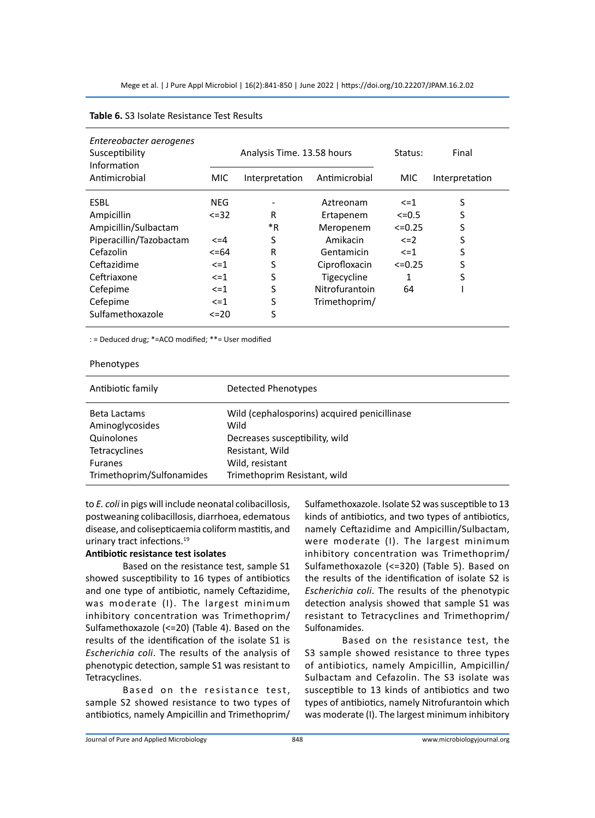| Entereobacter aerogenes<br>Susceptibility<br>Information |             | Analysis Time. 13.58 hours | Status:        | Final         |                |
|----------------------------------------------------------|-------------|----------------------------|----------------|---------------|----------------|
| Antimicrobial                                            | MIC.        | Interpretation             | Antimicrobial  | <b>MIC</b>    | Interpretation |
| ESBL                                                     | NEG         |                            | Aztreonam      | $\leq$ = 1    | S              |
| Ampicillin                                               | $\leq$ = 32 | R                          | Ertapenem      | $<=0.5$       | S              |
| Ampicillin/Sulbactam                                     |             | *R                         | Meropenem      | $\leq 0.25$   | S              |
| Piperacillin/Tazobactam                                  | $\leq$ = 4  | S                          | Amikacin       | $\leq$ $\geq$ | S              |
| Cefazolin                                                | $\leq$ =64  | R                          | Gentamicin     | $\leq$ = 1    | S              |
| Ceftazidime                                              | $\leq$ = 1  | S                          | Ciprofloxacin  | $\leq 0.25$   | S              |
| Ceftriaxone                                              | $\leq$ = 1  | S                          | Tigecycline    |               | S              |
| Cefepime                                                 | $\leq$ = 1  | S                          | Nitrofurantoin | 64            |                |
| Cefepime                                                 | $\leq$ = 1  | S                          | Trimethoprim/  |               |                |
| Sulfamethoxazole                                         | $\leq$ 20   | S                          |                |               |                |

#### **Table 6.** S3 Isolate Resistance Test Results

: = Deduced drug; \*=ACO modified; \*\*= User modified

#### Phenotypes

| Antibiotic family         | Detected Phenotypes                          |
|---------------------------|----------------------------------------------|
| Beta Lactams              | Wild (cephalosporins) acquired penicillinase |
| Aminoglycosides           | Wild                                         |
| Quinolones                | Decreases susceptibility, wild               |
| Tetracyclines             | Resistant, Wild                              |
| <b>Furanes</b>            | Wild, resistant                              |
| Trimethoprim/Sulfonamides | Trimethoprim Resistant, wild                 |

to *E. coli* in pigs will include neonatal colibacillosis, postweaning colibacillosis, diarrhoea, edematous disease, and colisepticaemia coliform mastitis, and urinary tract infections.<sup>19</sup>

## **Antibiotic resistance test isolates**

Based on the resistance test, sample S1 showed susceptibility to 16 types of antibiotics and one type of antibiotic, namely Ceftazidime, was moderate (I). The largest minimum inhibitory concentration was Trimethoprim/ Sulfamethoxazole (<=20) (Table 4). Based on the results of the identification of the isolate S1 is *Escherichia coli*. The results of the analysis of phenotypic detection, sample S1 was resistant to Tetracyclines.

Based on the resistance test, sample S2 showed resistance to two types of antibiotics, namely Ampicillin and Trimethoprim/ Sulfamethoxazole. Isolate S2 was susceptible to 13 kinds of antibiotics, and two types of antibiotics, namely Ceftazidime and Ampicillin/Sulbactam, were moderate (I). The largest minimum inhibitory concentration was Trimethoprim/ Sulfamethoxazole (<=320) (Table 5). Based on the results of the identification of isolate S2 is *Escherichia coli*. The results of the phenotypic detection analysis showed that sample S1 was resistant to Tetracyclines and Trimethoprim/ Sulfonamides.

Based on the resistance test, the S3 sample showed resistance to three types of antibiotics, namely Ampicillin, Ampicillin/ Sulbactam and Cefazolin. The S3 isolate was susceptible to 13 kinds of antibiotics and two types of antibiotics, namely Nitrofurantoin which was moderate (I). The largest minimum inhibitory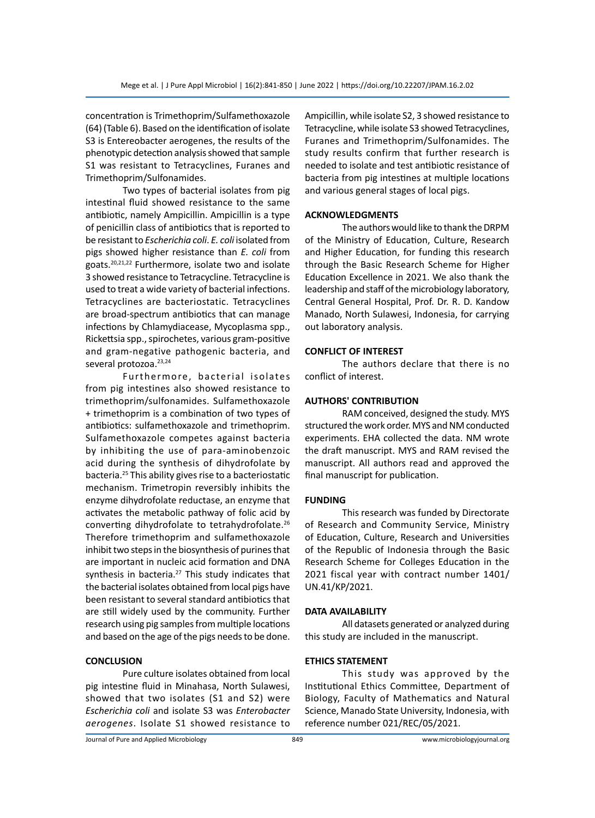concentration is Trimethoprim/Sulfamethoxazole (64) (Table 6). Based on the identification of isolate S3 is Entereobacter aerogenes, the results of the phenotypic detection analysis showed that sample S1 was resistant to Tetracyclines, Furanes and Trimethoprim/Sulfonamides.

Two types of bacterial isolates from pig intestinal fluid showed resistance to the same antibiotic, namely Ampicillin. Ampicillin is a type of penicillin class of antibiotics that is reported to be resistant to *Escherichia coli*. *E. coli* isolated from pigs showed higher resistance than *E. coli* from goats.20,21,22 Furthermore, isolate two and isolate 3 showed resistance to Tetracycline. Tetracycline is used to treat a wide variety of bacterial infections. Tetracyclines are bacteriostatic. Tetracyclines are broad-spectrum antibiotics that can manage infections by Chlamydiacease, Mycoplasma spp., Rickettsia spp., spirochetes, various gram-positive and gram-negative pathogenic bacteria, and several protozoa.<sup>23,24</sup>

Furthermore, bacterial isolates from pig intestines also showed resistance to trimethoprim/sulfonamides. Sulfamethoxazole + trimethoprim is a combination of two types of antibiotics: sulfamethoxazole and trimethoprim. Sulfamethoxazole competes against bacteria by inhibiting the use of para-aminobenzoic acid during the synthesis of dihydrofolate by bacteria.25 This ability gives rise to a bacteriostatic mechanism. Trimetropin reversibly inhibits the enzyme dihydrofolate reductase, an enzyme that activates the metabolic pathway of folic acid by converting dihydrofolate to tetrahydrofolate.<sup>26</sup> Therefore trimethoprim and sulfamethoxazole inhibit two steps in the biosynthesis of purines that are important in nucleic acid formation and DNA synthesis in bacteria.<sup>27</sup> This study indicates that the bacterial isolates obtained from local pigs have been resistant to several standard antibiotics that are still widely used by the community. Further research using pig samples from multiple locations and based on the age of the pigs needs to be done.

#### **CONCLUSION**

Pure culture isolates obtained from local pig intestine fluid in Minahasa, North Sulawesi, showed that two isolates (S1 and S2) were *Escherichia coli* and isolate S3 was *Enterobacter aerogenes*. Isolate S1 showed resistance to Ampicillin, while isolate S2, 3 showed resistance to Tetracycline, while isolate S3 showed Tetracyclines, Furanes and Trimethoprim/Sulfonamides. The study results confirm that further research is needed to isolate and test antibiotic resistance of bacteria from pig intestines at multiple locations and various general stages of local pigs.

#### **ACKNOWLEDGMENTS**

The authors would like to thank the DRPM of the Ministry of Education, Culture, Research and Higher Education, for funding this research through the Basic Research Scheme for Higher Education Excellence in 2021. We also thank the leadership and staff of the microbiology laboratory, Central General Hospital, Prof. Dr. R. D. Kandow Manado, North Sulawesi, Indonesia, for carrying out laboratory analysis.

#### **CONFLICT OF INTEREST**

The authors declare that there is no conflict of interest.

#### **AUTHORS' CONTRIBUTION**

RAM conceived, designed the study. MYS structured the work order. MYS and NM conducted experiments. EHA collected the data. NM wrote the draft manuscript. MYS and RAM revised the manuscript. All authors read and approved the final manuscript for publication.

#### **FUNDING**

This research was funded by Directorate of Research and Community Service, Ministry of Education, Culture, Research and Universities of the Republic of Indonesia through the Basic Research Scheme for Colleges Education in the 2021 fiscal year with contract number 1401/ UN.41/KP/2021.

#### **DATA AVAILABILITY**

All datasets generated or analyzed during this study are included in the manuscript.

#### **ETHICS STATEMENT**

This study was approved by the Institutional Ethics Committee, Department of Biology, Faculty of Mathematics and Natural Science, Manado State University, Indonesia, with reference number 021/REC/05/2021.